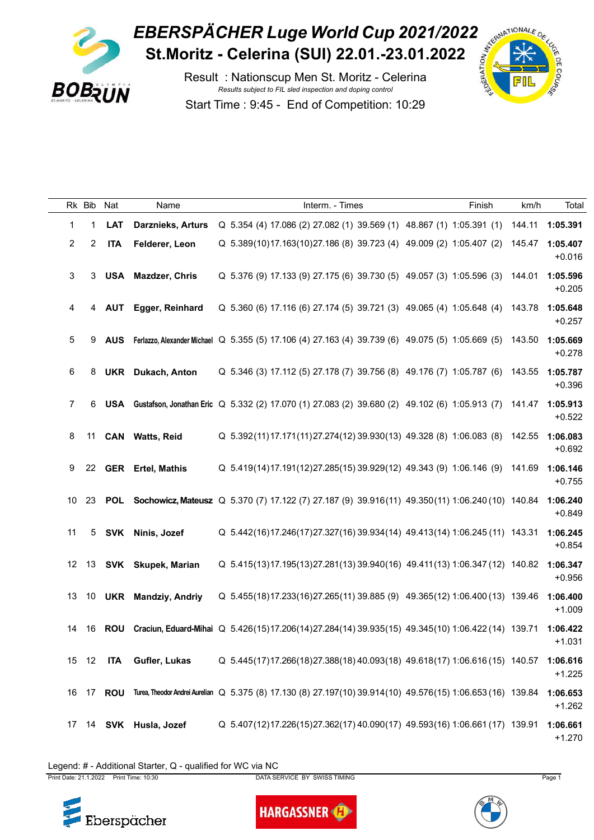

|                | Rk Bib         | Nat        | Name                      | Interm. - Times                                                                                             | Finish | km/h   | Tota                 |
|----------------|----------------|------------|---------------------------|-------------------------------------------------------------------------------------------------------------|--------|--------|----------------------|
| 1              | 1              | <b>LAT</b> | <b>Darznieks, Arturs</b>  | Q 5.354 (4) 17.086 (2) 27.082 (1) 39.569 (1) 48.867 (1) 1:05.391 (1)                                        |        | 144.11 | 1:05.391             |
| $\overline{2}$ | $\overline{2}$ | <b>ITA</b> | Felderer, Leon            | Q 5.389(10)17.163(10)27.186 (8) 39.723 (4) 49.009 (2) 1:05.407 (2)                                          |        | 145.47 | 1:05.407<br>$+0.016$ |
| 3              | 3              |            | <b>USA</b> Mazdzer, Chris | Q 5.376 (9) 17.133 (9) 27.175 (6) 39.730 (5) 49.057 (3) 1:05.596 (3)                                        |        | 144.01 | 1:05.596<br>$+0.205$ |
| 4              |                |            | 4 AUT Egger, Reinhard     | Q 5.360 (6) 17.116 (6) 27.174 (5) 39.721 (3) 49.065 (4) 1:05.648 (4)                                        |        | 143.78 | 1:05.648<br>$+0.257$ |
| 5              | 9              |            |                           | AUS Ferlazzo, Alexander Michael Q 5.355 (5) 17.106 (4) 27.163 (4) 39.739 (6) 49.075 (5) 1:05.669 (5)        |        | 143.50 | 1:05.669<br>$+0.278$ |
| 6              | 8              |            | <b>UKR</b> Dukach, Anton  | Q 5.346 (3) 17.112 (5) 27.178 (7) 39.756 (8) 49.176 (7) 1:05.787 (6) 143.55                                 |        |        | 1:05.787<br>$+0.396$ |
| $\overline{7}$ | 6.             | USA        |                           | Gustafson, Jonathan Eric Q 5.332 (2) 17.070 (1) 27.083 (2) 39.680 (2) 49.102 (6) 1:05.913 (7)               |        | 141.47 | 1:05.913<br>$+0.522$ |
| 8              | 11             |            | CAN Watts, Reid           | Q 5.392(11)17.171(11)27.274(12)39.930(13) 49.328 (8) 1:06.083 (8)                                           |        | 142.55 | 1:06.083<br>$+0.692$ |
| 9              |                |            | 22 GER Ertel, Mathis      | Q 5.419(14)17.191(12)27.285(15)39.929(12) 49.343 (9) 1:06.146 (9) 141.69                                    |        |        | 1:06.146<br>$+0.755$ |
|                |                |            |                           | 10 23 POL Sochowicz, Mateusz Q 5.370 (7) 17.122 (7) 27.187 (9) 39.916 (11) 49.350 (11) 1:06.240 (10) 140.84 |        |        | 1:06.240<br>$+0.849$ |
| 11             | 5              |            | SVK Ninis, Jozef          | Q 5.442(16)17.246(17)27.327(16)39.934(14) 49.413(14) 1:06.245(11) 143.31                                    |        |        | 1:06.245<br>$+0.854$ |
|                |                |            | 12 13 SVK Skupek, Marian  | Q 5.415(13)17.195(13)27.281(13)39.940(16) 49.411(13) 1:06.347(12) 140.82                                    |        |        | 1:06.347<br>$+0.956$ |
|                |                |            | 13 10 UKR Mandziy, Andriy | Q 5.455(18)17.233(16)27.265(11) 39.885 (9) 49.365(12) 1:06.400 (13) 139.46                                  |        |        | 1:06.400<br>$+1.009$ |
|                | 14 16          | <b>ROU</b> |                           | Craciun, Eduard-Mihai Q 5.426(15)17.206(14)27.284(14) 39.935(15) 49.345(10) 1:06.422 (14) 139.71            |        |        | 1:06.422<br>$+1.031$ |
|                | 15 12          | ITA        | Gufler, Lukas             | Q 5.445(17)17.266(18)27.388(18)40.093(18) 49.618(17) 1:06.616 (15) 140.57                                   |        |        | 1:06.616<br>$+1.225$ |
|                | 16 17          | <b>ROU</b> |                           | Turea, Theodor Andrei Aurelian Q 5.375 (8) 17.130 (8) 27.197(10) 39.914(10) 49.576(15) 1:06.653 (16) 139.84 |        |        | 1:06.653<br>$+1.262$ |
|                | 17 14          |            | SVK Husla, Jozef          | Q 5.407(12)17.226(15)27.362(17)40.090(17) 49.593(16) 1:06.661(17) 139.91                                    |        |        | 1:06.661<br>$+1.270$ |
|                |                |            |                           |                                                                                                             |        |        |                      |

Legend: # - Additional Starter, Q - qualified for WC via NC



**HARGASSNER**